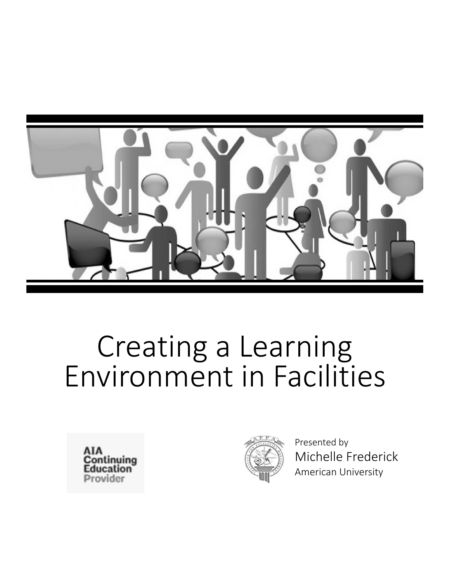





Presented by Michelle Frederick American University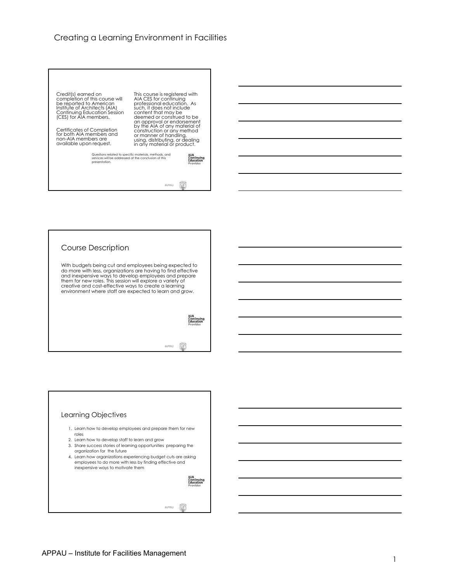Credit(s) earned on<br>completion of this course will<br>be reported to American<br>Institute of Architects (AIA)<br>Continuing Education Session<br>(CES) for AIA members. This course is registered with<br>AIA CES for continuing<br>such, it does not include<br>content that may be<br>content that may be<br>deemed or construed to be<br>an approval or endorsement<br>by the AIA of any material of Certificates of Completion for both AIA members and non-AIA members are available upon request. cónstruction or any method<br>or manner of handling,<br>using, distributing, or dealing<br>in any material or product. Questions related to specific materials, methods, and services will be addressed at the conclusion of this presentation. **Continuing**<br>Education  $\circledS$ *#APPAU* 



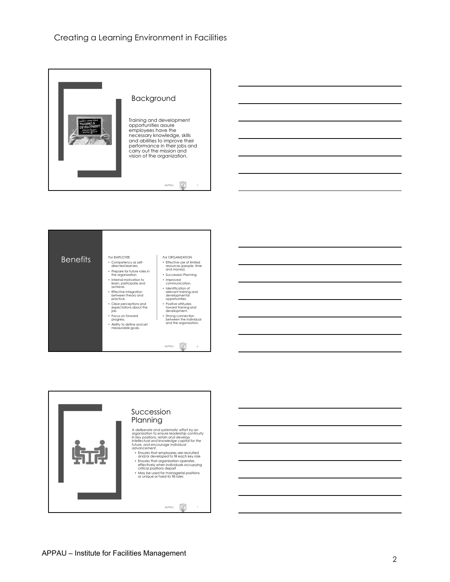





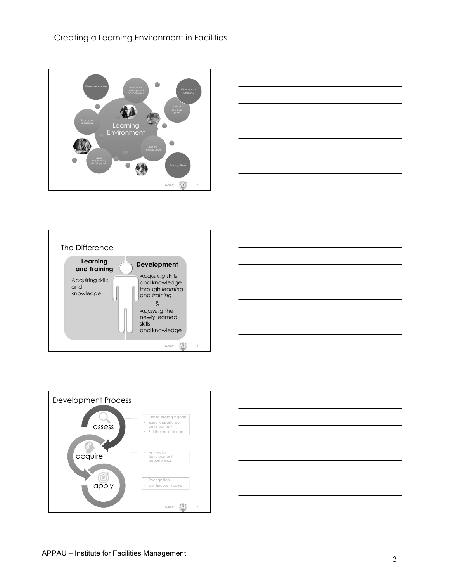









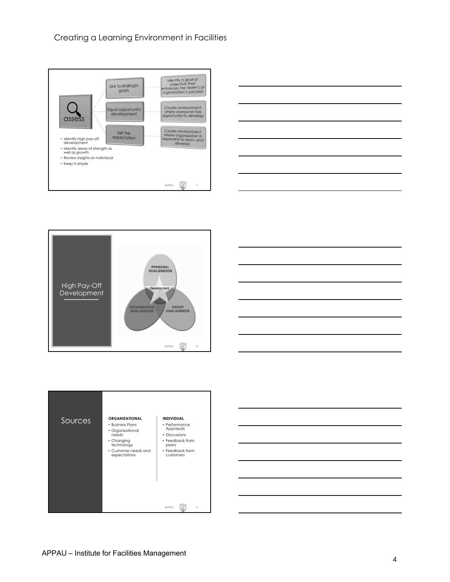









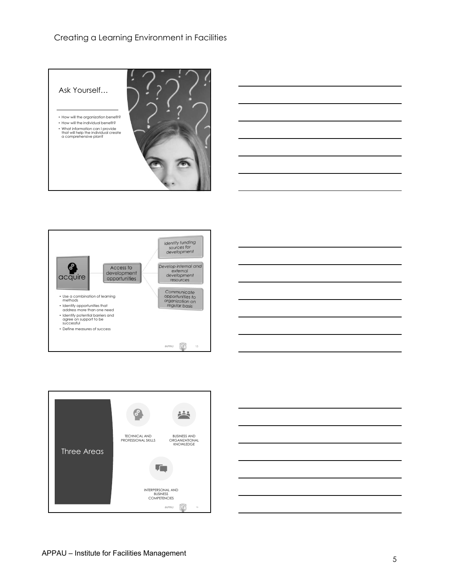









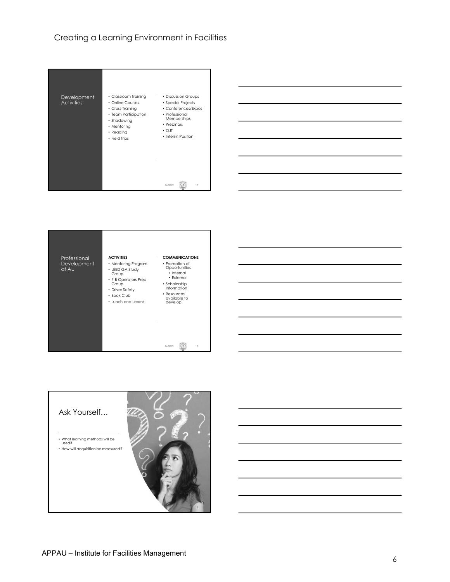







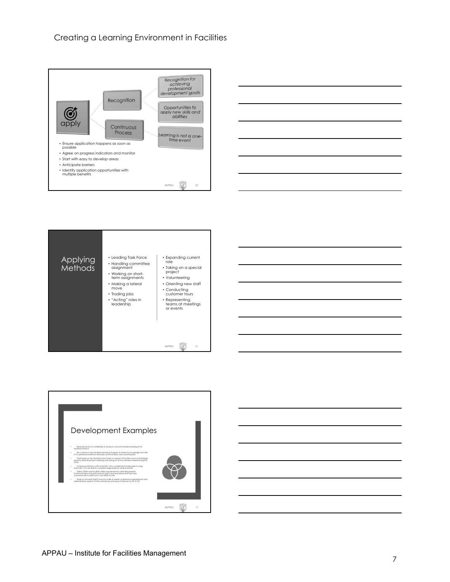









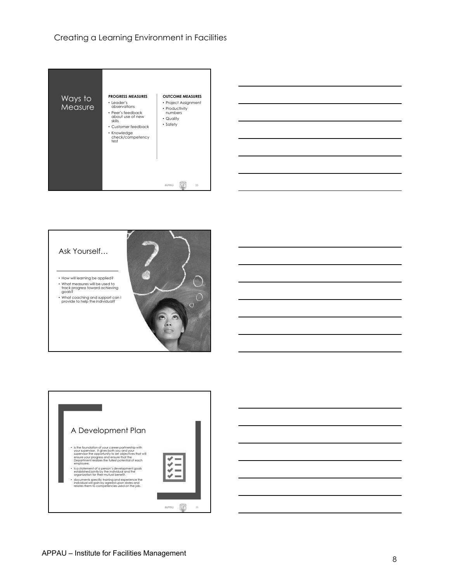





- How will learning be applied? What measures will be used to track progress toward achieving goals?
- What coaching and support can I provide to help the individual?



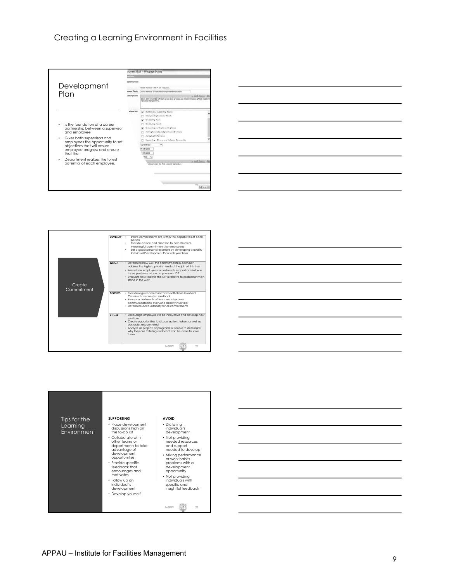







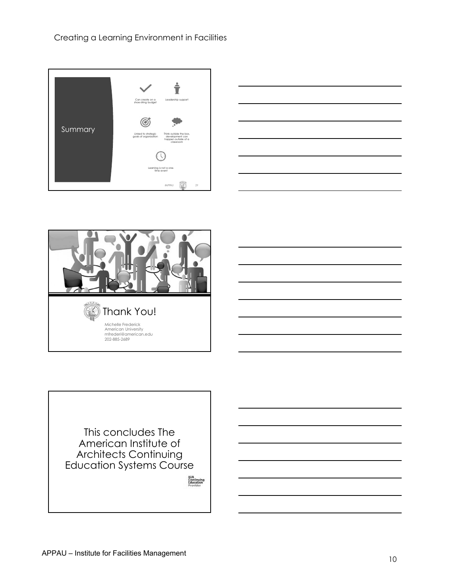





This concludes The American Institute of Architects Continuing Education Systems Course

AIA<br>Continuing<br>Education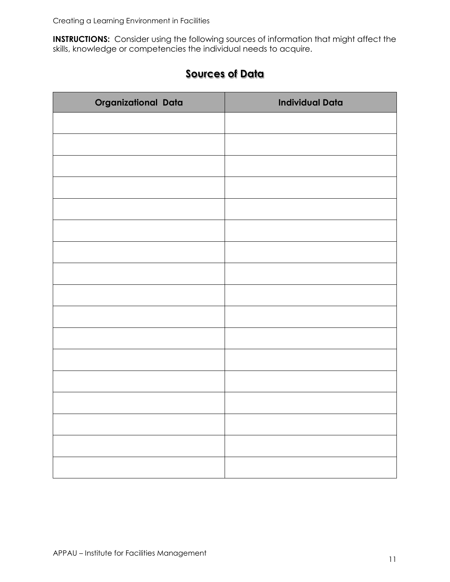**INSTRUCTIONS:** Consider using the following sources of information that might affect the skills, knowledge or competencies the individual needs to acquire.

| Organizational Data | <b>Individual Data</b> |
|---------------------|------------------------|
|                     |                        |
|                     |                        |
|                     |                        |
|                     |                        |
|                     |                        |
|                     |                        |
|                     |                        |
|                     |                        |
|                     |                        |
|                     |                        |
|                     |                        |
|                     |                        |
|                     |                        |
|                     |                        |
|                     |                        |
|                     |                        |
|                     |                        |
|                     |                        |

## **Sources of Data**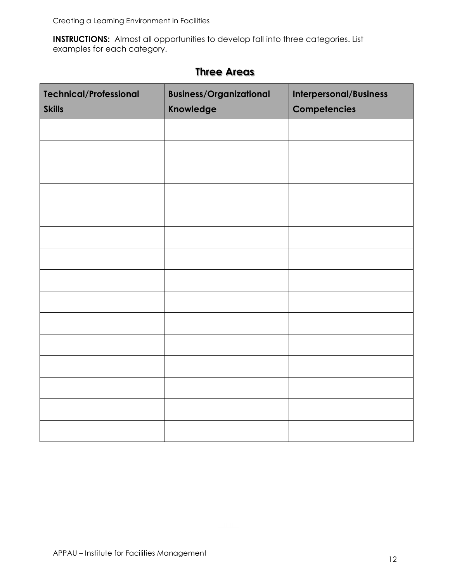**INSTRUCTIONS:** Almost all opportunities to develop fall into three categories. List examples for each category.

| <b>Technical/Professional</b><br><b>Skills</b> | <b>Business/Organizational</b><br>Knowledge | Interpersonal/Business<br>Competencies |
|------------------------------------------------|---------------------------------------------|----------------------------------------|
|                                                |                                             |                                        |
|                                                |                                             |                                        |
|                                                |                                             |                                        |
|                                                |                                             |                                        |
|                                                |                                             |                                        |
|                                                |                                             |                                        |
|                                                |                                             |                                        |
|                                                |                                             |                                        |
|                                                |                                             |                                        |
|                                                |                                             |                                        |
|                                                |                                             |                                        |
|                                                |                                             |                                        |
|                                                |                                             |                                        |
|                                                |                                             |                                        |
|                                                |                                             |                                        |

## **Three Areas**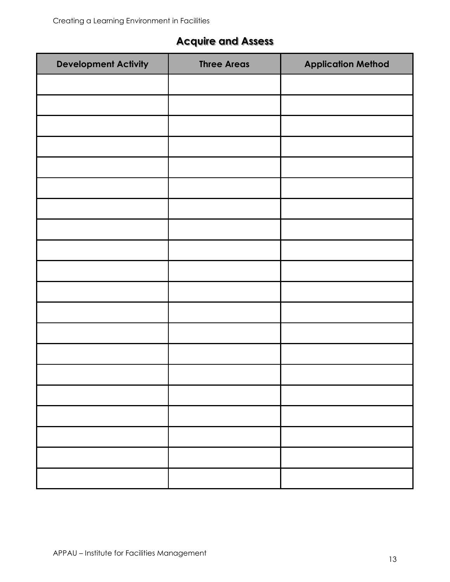# **Acquire and Assess**

| <b>Development Activity</b> | <b>Three Areas</b> | <b>Application Method</b> |
|-----------------------------|--------------------|---------------------------|
|                             |                    |                           |
|                             |                    |                           |
|                             |                    |                           |
|                             |                    |                           |
|                             |                    |                           |
|                             |                    |                           |
|                             |                    |                           |
|                             |                    |                           |
|                             |                    |                           |
|                             |                    |                           |
|                             |                    |                           |
|                             |                    |                           |
|                             |                    |                           |
|                             |                    |                           |
|                             |                    |                           |
|                             |                    |                           |
|                             |                    |                           |
|                             |                    |                           |
|                             |                    |                           |
|                             |                    |                           |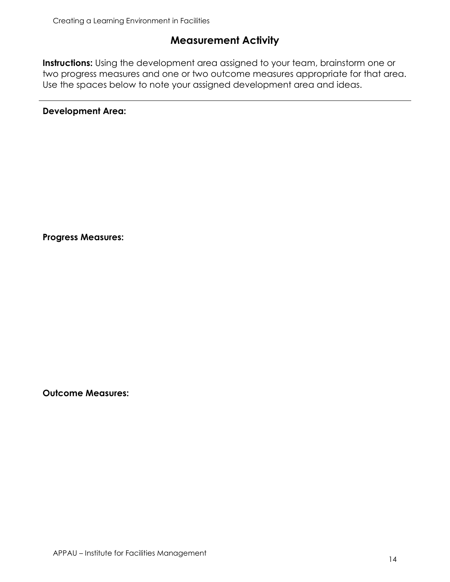## **Measurement Activity**

**Instructions:** Using the development area assigned to your team, brainstorm one or two progress measures and one or two outcome measures appropriate for that area. Use the spaces below to note your assigned development area and ideas.

**Development Area:**

**Progress Measures:** 

**Outcome Measures:**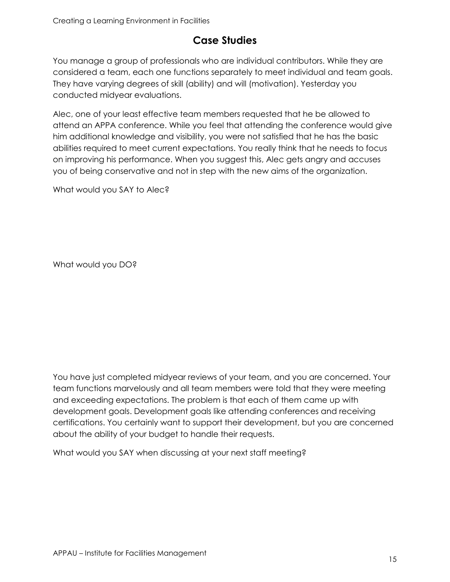## **Case Studies**

You manage a group of professionals who are individual contributors. While they are considered a team, each one functions separately to meet individual and team goals. They have varying degrees of skill (ability) and will (motivation). Yesterday you conducted midyear evaluations.

Alec, one of your least effective team members requested that he be allowed to attend an APPA conference. While you feel that attending the conference would give him additional knowledge and visibility, you were not satisfied that he has the basic abilities required to meet current expectations. You really think that he needs to focus on improving his performance. When you suggest this, Alec gets angry and accuses you of being conservative and not in step with the new aims of the organization.

What would you SAY to Alec?

What would you DO?

You have just completed midyear reviews of your team, and you are concerned. Your team functions marvelously and all team members were told that they were meeting and exceeding expectations. The problem is that each of them came up with development goals. Development goals like attending conferences and receiving certifications. You certainly want to support their development, but you are concerned about the ability of your budget to handle their requests.

What would you SAY when discussing at your next staff meeting?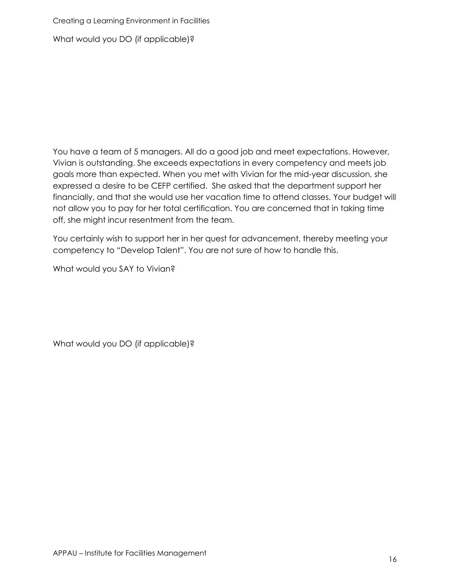What would you DO (if applicable)?

You have a team of 5 managers. All do a good job and meet expectations. However, Vivian is outstanding. She exceeds expectations in every competency and meets job goals more than expected. When you met with Vivian for the mid-year discussion, she expressed a desire to be CEFP certified. She asked that the department support her financially, and that she would use her vacation time to attend classes. Your budget will not allow you to pay for her total certification. You are concerned that in taking time off, she might incur resentment from the team.

You certainly wish to support her in her quest for advancement, thereby meeting your competency to "Develop Talent". You are not sure of how to handle this.

What would you SAY to Vivian?

What would you DO (if applicable)?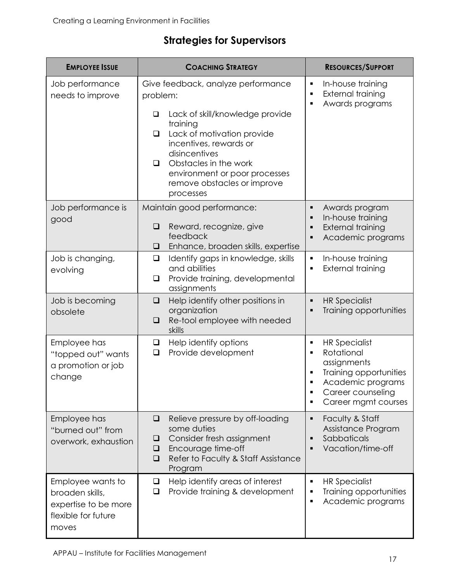| <b>EMPLOYEE ISSUE</b>                                                                        | <b>COACHING STRATEGY</b>                                                                                                                                                                                                                                 | <b>RESOURCES/SUPPORT</b>                                                                                                                                                 |
|----------------------------------------------------------------------------------------------|----------------------------------------------------------------------------------------------------------------------------------------------------------------------------------------------------------------------------------------------------------|--------------------------------------------------------------------------------------------------------------------------------------------------------------------------|
| Job performance<br>needs to improve                                                          | Give feedback, analyze performance<br>problem:                                                                                                                                                                                                           | In-house training<br>٠<br><b>External training</b><br>$\blacksquare$<br>Awards programs<br>٠                                                                             |
|                                                                                              | Lack of skill/knowledge provide<br>$\Box$<br>training<br>Lack of motivation provide<br>$\Box$<br>incentives, rewards or<br>disincentives<br>Obstacles in the work<br>$\Box$<br>environment or poor processes<br>remove obstacles or improve<br>processes |                                                                                                                                                                          |
| Job performance is<br>good                                                                   | Maintain good performance:<br>Reward, recognize, give<br>❏<br>feedback<br>Enhance, broaden skills, expertise<br>❏                                                                                                                                        | Awards program<br>٠<br>In-house training<br>٠<br>External training<br>٠<br>Academic programs<br>٠                                                                        |
| Job is changing,<br>evolving                                                                 | Identify gaps in knowledge, skills<br>$\Box$<br>and abilities<br>Provide training, developmental<br>$\Box$<br>assignments                                                                                                                                | In-house training<br>٠<br>External training<br>$\blacksquare$                                                                                                            |
| Job is becoming<br>obsolete                                                                  | Help identify other positions in<br>$\Box$<br>organization<br>Re-tool employee with needed<br>$\Box$<br>skills                                                                                                                                           | <b>HR Specialist</b><br>٠<br>Training opportunities<br>$\blacksquare$                                                                                                    |
| Employee has<br>"topped out" wants<br>a promotion or job<br>change                           | Help identify options<br>$\Box$<br>Provide development<br>$\Box$                                                                                                                                                                                         | <b>HR Specialist</b><br>٠<br>Rotational<br>٠<br>assignments<br>Training opportunities<br>Academic programs<br>Career counseling<br>Career mgmt courses<br>$\blacksquare$ |
| Employee has<br>"burned out" from<br>overwork, exhaustion                                    | Relieve pressure by off-loading<br>❏<br>some duties<br>Consider fresh assignment<br>❏<br>Encourage time-off<br>❏<br>Refer to Faculty & Staff Assistance<br>❏<br>Program                                                                                  | Faculty & Staff<br>٠<br>Assistance Program<br>Sabbaticals<br>٠<br>Vacation/time-off                                                                                      |
| Employee wants to<br>broaden skills,<br>expertise to be more<br>flexible for future<br>moves | Help identify areas of interest<br>❏<br>Provide training & development<br>$\Box$                                                                                                                                                                         | <b>HR Specialist</b><br>$\blacksquare$<br>Training opportunities<br>٠<br>Academic programs<br>$\blacksquare$                                                             |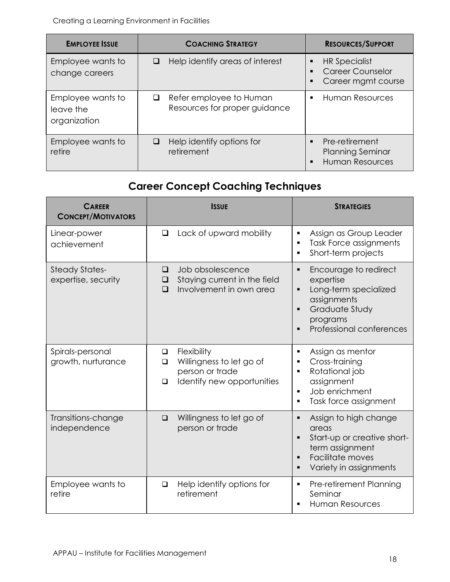| <b>EMPLOYEE ISSUE</b>                          | <b>COACHING STRATEGY</b>                                      | <b>RESOURCES/SUPPORT</b>                                                              |
|------------------------------------------------|---------------------------------------------------------------|---------------------------------------------------------------------------------------|
| Employee wants to<br>change careers            | Help identify areas of interest<br>$\Box$                     | <b>HR Specialist</b><br><b>Career Counselor</b><br>Career mgmt course                 |
| Employee wants to<br>leave the<br>organization | Refer employee to Human<br>⊔<br>Resources for proper guidance | <b>Human Resources</b>                                                                |
| Employee wants to<br>retire                    | Help identify options for<br>⊔<br>retirement                  | Pre-retirement<br>$\blacksquare$<br><b>Planning Seminar</b><br><b>Human Resources</b> |

# **Career Concept Coaching Techniques**

| <b>CAREER</b><br><b>CONCEPT/MOTIVATORS</b>   | <b>ISSUE</b>                                                                                                      | <b>STRATEGIES</b>                                                                                                                                                                                            |
|----------------------------------------------|-------------------------------------------------------------------------------------------------------------------|--------------------------------------------------------------------------------------------------------------------------------------------------------------------------------------------------------------|
| Linear-power<br>achievement                  | Lack of upward mobility<br>$\Box$                                                                                 | Assign as Group Leader<br>$\blacksquare$<br>Task Force assignments<br>$\blacksquare$<br>Short-term projects<br>$\blacksquare$                                                                                |
| <b>Steady States-</b><br>expertise, security | Job obsolescence<br>$\Box$<br>Staying current in the field<br>□<br>Involvement in own area<br>$\Box$              | Encourage to redirect<br>$\blacksquare$<br>expertise<br>Long-term specialized<br>$\blacksquare$<br>assignments<br>Graduate Study<br>$\blacksquare$<br>programs<br>Professional conferences<br>$\blacksquare$ |
| Spirals-personal<br>growth, nurturance       | Flexibility<br>$\Box$<br>Willingness to let go of<br>◻<br>person or trade<br>Identify new opportunities<br>$\Box$ | Assign as mentor<br>Ξ<br>Cross-training<br>$\blacksquare$<br>Rotational job<br>$\blacksquare$<br>assignment<br>Job enrichment<br>$\blacksquare$<br>Task force assignment<br>$\blacksquare$                   |
| Transitions-change<br>independence           | Willingness to let go of<br>$\Box$<br>person or trade                                                             | Assign to high change<br>$\blacksquare$<br>areas<br>Start-up or creative short-<br>п<br>term assignment<br>Facilitate moves<br>$\blacksquare$<br>Variety in assignments<br>$\blacksquare$                    |
| Employee wants to<br>retire                  | Help identify options for<br>$\Box$<br>retirement                                                                 | Pre-retirement Planning<br>Ξ<br>Seminar<br><b>Human Resources</b><br>$\blacksquare$                                                                                                                          |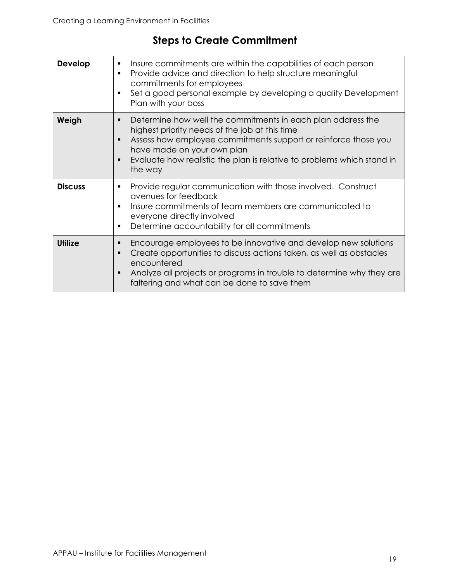# **Steps to Create Commitment**

| Develop        | Insure commitments are within the capabilities of each person<br>٠<br>Provide advice and direction to help structure meaningful<br>٠<br>commitments for employees<br>Set a good personal example by developing a quality Development<br>٠<br>Plan with your boss                                                                            |
|----------------|---------------------------------------------------------------------------------------------------------------------------------------------------------------------------------------------------------------------------------------------------------------------------------------------------------------------------------------------|
| Weigh          | Determine how well the commitments in each plan address the<br>٠<br>highest priority needs of the job at this time<br>Assess how employee commitments support or reinforce those you<br>$\blacksquare$<br>have made on your own plan<br>Evaluate how realistic the plan is relative to problems which stand in<br>$\blacksquare$<br>the way |
| <b>Discuss</b> | Provide regular communication with those involved. Construct<br>٠<br>avenues for feedback<br>Insure commitments of team members are communicated to<br>٠<br>everyone directly involved<br>Determine accountability for all commitments<br>٠                                                                                                 |
| <b>Utilize</b> | Encourage employees to be innovative and develop new solutions<br>٠<br>Create opportunities to discuss actions taken, as well as obstacles<br>$\blacksquare$<br>encountered<br>Analyze all projects or programs in trouble to determine why they are<br>faltering and what can be done to save them                                         |